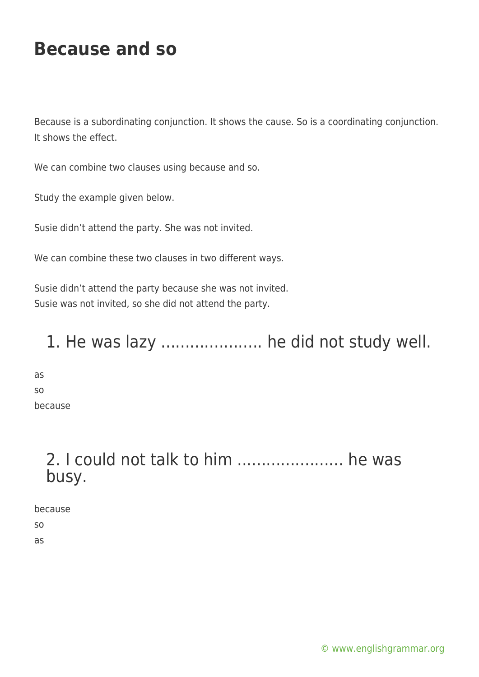# **Because and so**

Because is a subordinating conjunction. It shows the cause. So is a coordinating conjunction. It shows the effect.

We can combine two clauses using because and so.

Study the example given below.

Susie didn't attend the party. She was not invited.

We can combine these two clauses in two different ways.

Susie didn't attend the party because she was not invited. Susie was not invited, so she did not attend the party.

#### 1. He was lazy ..................... he did not study well.

as so because

### 2. I could not talk to him ...................... he was busy.

because so as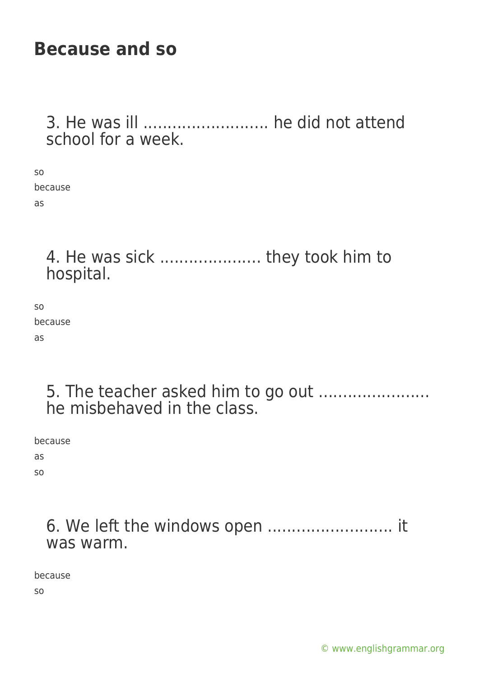## **Because and so**

3. He was ill .......................... he did not attend school for a week.

so because as

### 4. He was sick ..................... they took him to hospital.

so because as

#### 5. The teacher asked him to go out ....................... he misbehaved in the class.

because

as

so

6. We left the windows open .......................... it was warm.

because

so